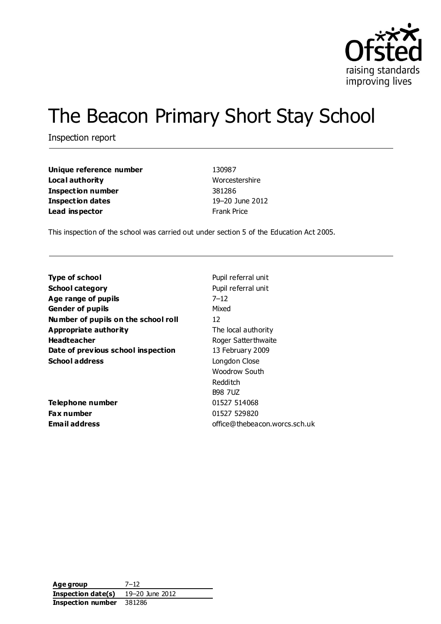

# The Beacon Primary Short Stay School

Inspection report

| Unique reference number  | 130987             |
|--------------------------|--------------------|
| Local authority          | Worcestershire     |
| <b>Inspection number</b> | 381286             |
| <b>Inspection dates</b>  | 19-20 June 2012    |
| Lead inspector           | <b>Frank Price</b> |

This inspection of the school was carried out under section 5 of the Education Act 2005.

| Pupil referral unit           |
|-------------------------------|
| Pupil referral unit           |
| $7 - 12$                      |
| Mixed                         |
| 12                            |
| The local authority           |
| Roger Satter thwaite          |
| 13 February 2009              |
| Longdon Close                 |
| Woodrow South                 |
| Redditch                      |
| <b>B98 7UZ</b>                |
| 01527 514068                  |
| 01527 529820                  |
| office@thebeacon.worcs.sch.uk |
|                               |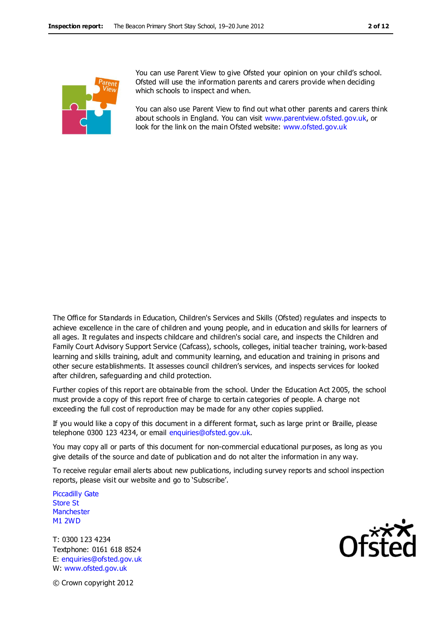

You can use Parent View to give Ofsted your opinion on your child's school. Ofsted will use the information parents and carers provide when deciding which schools to inspect and when.

You can also use Parent View to find out what other parents and carers think about schools in England. You can visit [www.parentview.ofsted.gov.uk,](http://www.parentview.ofsted.gov.uk/) or look for the link on the main Ofsted website: [www.ofsted.gov.uk](http://www.ofsted.gov.uk/)

The Office for Standards in Education, Children's Services and Skills (Ofsted) regulates and inspects to achieve excellence in the care of children and young people, and in education and skills for learners of all ages. It regulates and inspects childcare and children's social care, and inspects the Children and Family Court Advisory Support Service (Cafcass), schools, colleges, initial teacher training, work-based learning and skills training, adult and community learning, and education and training in prisons and other secure establishments. It assesses council children's services, and inspects services for looked after children, safeguarding and child protection.

Further copies of this report are obtainable from the school. Under the Education Act 2005, the school must provide a copy of this report free of charge to certain categories of people. A charge not exceeding the full cost of reproduction may be made for any other copies supplied.

If you would like a copy of this document in a different format, such as large print or Braille, please telephone 0300 123 4234, or email enquiries@ofsted.gov.uk.

You may copy all or parts of this document for non-commercial educational purposes, as long as you give details of the source and date of publication and do not alter the information in any way.

To receive regular email alerts about new publications, including survey reports and school inspection reports, please visit our website and go to 'Subscribe'.

Piccadilly Gate Store St **Manchester** M1 2WD

T: 0300 123 4234 Textphone: 0161 618 8524 E: enquiries@ofsted.gov.uk W: www.ofsted.gov.uk



© Crown copyright 2012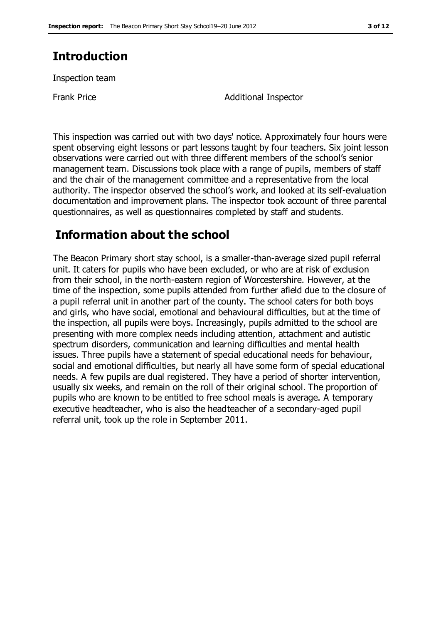# **Introduction**

Inspection team

Frank Price **Additional Inspector** 

This inspection was carried out with two days' notice. Approximately four hours were spent observing eight lessons or part lessons taught by four teachers. Six joint lesson observations were carried out with three different members of the school's senior management team. Discussions took place with a range of pupils, members of staff and the chair of the management committee and a representative from the local authority. The inspector observed the school's work, and looked at its self-evaluation documentation and improvement plans. The inspector took account of three parental questionnaires, as well as questionnaires completed by staff and students.

# **Information about the school**

The Beacon Primary short stay school, is a smaller-than-average sized pupil referral unit. It caters for pupils who have been excluded, or who are at risk of exclusion from their school, in the north-eastern region of Worcestershire. However, at the time of the inspection, some pupils attended from further afield due to the closure of a pupil referral unit in another part of the county. The school caters for both boys and girls, who have social, emotional and behavioural difficulties, but at the time of the inspection, all pupils were boys. Increasingly, pupils admitted to the school are presenting with more complex needs including attention, attachment and autistic spectrum disorders, communication and learning difficulties and mental health issues. Three pupils have a statement of special educational needs for behaviour, social and emotional difficulties, but nearly all have some form of special educational needs. A few pupils are dual registered. They have a period of shorter intervention, usually six weeks, and remain on the roll of their original school. The proportion of pupils who are known to be entitled to free school meals is average. A temporary executive headteacher, who is also the headteacher of a secondary-aged pupil referral unit, took up the role in September 2011.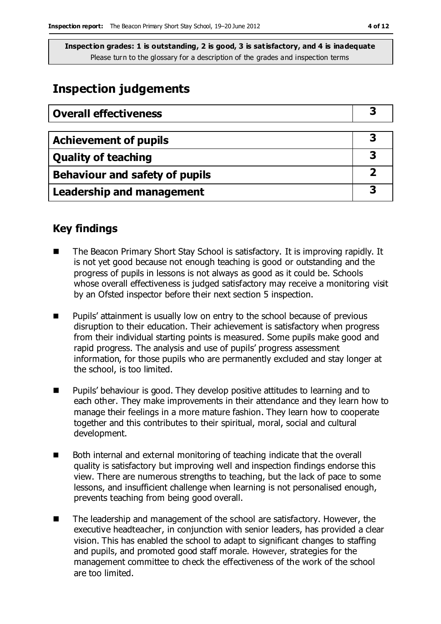# **Inspection judgements**

| <b>Overall effectiveness</b>     |  |
|----------------------------------|--|
|                                  |  |
| <b>Achievement of pupils</b>     |  |
| <b>Quality of teaching</b>       |  |
| Behaviour and safety of pupils   |  |
| <b>Leadership and management</b> |  |

# **Key findings**

- The Beacon Primary Short Stay School is satisfactory. It is improving rapidly. It is not yet good because not enough teaching is good or outstanding and the progress of pupils in lessons is not always as good as it could be. Schools whose overall effectiveness is judged satisfactory may receive a monitoring visit by an Ofsted inspector before their next section 5 inspection.
- **Pupils' attainment is usually low on entry to the school because of previous** disruption to their education. Their achievement is satisfactory when progress from their individual starting points is measured. Some pupils make good and rapid progress. The analysis and use of pupils' progress assessment information, for those pupils who are permanently excluded and stay longer at the school, is too limited.
- Pupils' behaviour is good. They develop positive attitudes to learning and to each other. They make improvements in their attendance and they learn how to manage their feelings in a more mature fashion. They learn how to cooperate together and this contributes to their spiritual, moral, social and cultural development.
- Both internal and external monitoring of teaching indicate that the overall quality is satisfactory but improving well and inspection findings endorse this view. There are numerous strengths to teaching, but the lack of pace to some lessons, and insufficient challenge when learning is not personalised enough, prevents teaching from being good overall.
- The leadership and management of the school are satisfactory. However, the executive headteacher, in conjunction with senior leaders, has provided a clear vision. This has enabled the school to adapt to significant changes to staffing and pupils, and promoted good staff morale. However, strategies for the management committee to check the effectiveness of the work of the school are too limited.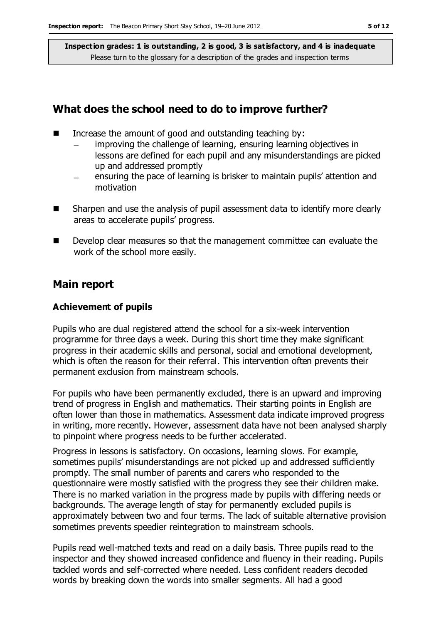### **What does the school need to do to improve further?**

- Increase the amount of good and outstanding teaching by:
	- improving the challenge of learning, ensuring learning objectives in lessons are defined for each pupil and any misunderstandings are picked up and addressed promptly
	- ensuring the pace of learning is brisker to maintain pupils' attention and motivation
- Sharpen and use the analysis of pupil assessment data to identify more clearly areas to accelerate pupils' progress.
- Develop clear measures so that the management committee can evaluate the work of the school more easily.

#### **Main report**

#### **Achievement of pupils**

Pupils who are dual registered attend the school for a six-week intervention programme for three days a week. During this short time they make significant progress in their academic skills and personal, social and emotional development, which is often the reason for their referral. This intervention often prevents their permanent exclusion from mainstream schools.

For pupils who have been permanently excluded, there is an upward and improving trend of progress in English and mathematics. Their starting points in English are often lower than those in mathematics. Assessment data indicate improved progress in writing, more recently. However, assessment data have not been analysed sharply to pinpoint where progress needs to be further accelerated.

Progress in lessons is satisfactory. On occasions, learning slows. For example, sometimes pupils' misunderstandings are not picked up and addressed sufficiently promptly. The small number of parents and carers who responded to the questionnaire were mostly satisfied with the progress they see their children make. There is no marked variation in the progress made by pupils with differing needs or backgrounds. The average length of stay for permanently excluded pupils is approximately between two and four terms. The lack of suitable alternative provision sometimes prevents speedier reintegration to mainstream schools.

Pupils read well-matched texts and read on a daily basis. Three pupils read to the inspector and they showed increased confidence and fluency in their reading. Pupils tackled words and self-corrected where needed. Less confident readers decoded words by breaking down the words into smaller segments. All had a good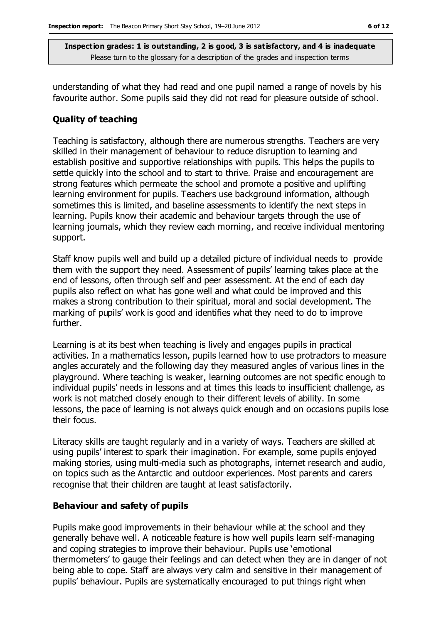understanding of what they had read and one pupil named a range of novels by his favourite author. Some pupils said they did not read for pleasure outside of school.

#### **Quality of teaching**

Teaching is satisfactory, although there are numerous strengths. Teachers are very skilled in their management of behaviour to reduce disruption to learning and establish positive and supportive relationships with pupils. This helps the pupils to settle quickly into the school and to start to thrive. Praise and encouragement are strong features which permeate the school and promote a positive and uplifting learning environment for pupils. Teachers use background information, although sometimes this is limited, and baseline assessments to identify the next steps in learning. Pupils know their academic and behaviour targets through the use of learning journals, which they review each morning, and receive individual mentoring support.

Staff know pupils well and build up a detailed picture of individual needs to provide them with the support they need. Assessment of pupils' learning takes place at the end of lessons, often through self and peer assessment. At the end of each day pupils also reflect on what has gone well and what could be improved and this makes a strong contribution to their spiritual, moral and social development. The marking of pupils' work is good and identifies what they need to do to improve further.

Learning is at its best when teaching is lively and engages pupils in practical activities. In a mathematics lesson, pupils learned how to use protractors to measure angles accurately and the following day they measured angles of various lines in the playground. Where teaching is weaker, learning outcomes are not specific enough to individual pupils' needs in lessons and at times this leads to insufficient challenge, as work is not matched closely enough to their different levels of ability. In some lessons, the pace of learning is not always quick enough and on occasions pupils lose their focus.

Literacy skills are taught regularly and in a variety of ways. Teachers are skilled at using pupils' interest to spark their imagination. For example, some pupils enjoyed making stories, using multi-media such as photographs, internet research and audio, on topics such as the Antarctic and outdoor experiences. Most parents and carers recognise that their children are taught at least satisfactorily.

#### **Behaviour and safety of pupils**

Pupils make good improvements in their behaviour while at the school and they generally behave well. A noticeable feature is how well pupils learn self-managing and coping strategies to improve their behaviour. Pupils use 'emotional thermometers' to gauge their feelings and can detect when they are in danger of not being able to cope. Staff are always very calm and sensitive in their management of pupils' behaviour. Pupils are systematically encouraged to put things right when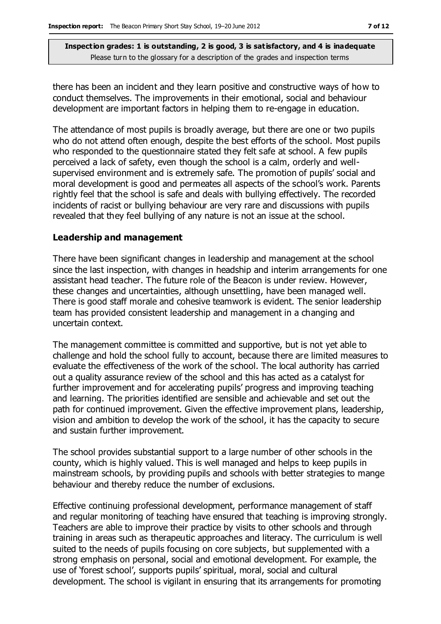there has been an incident and they learn positive and constructive ways of how to conduct themselves. The improvements in their emotional, social and behaviour development are important factors in helping them to re-engage in education.

The attendance of most pupils is broadly average, but there are one or two pupils who do not attend often enough, despite the best efforts of the school. Most pupils who responded to the questionnaire stated they felt safe at school. A few pupils perceived a lack of safety, even though the school is a calm, orderly and wellsupervised environment and is extremely safe. The promotion of pupils' social and moral development is good and permeates all aspects of the school's work. Parents rightly feel that the school is safe and deals with bullying effectively. The recorded incidents of racist or bullying behaviour are very rare and discussions with pupils revealed that they feel bullying of any nature is not an issue at the school.

#### **Leadership and management**

There have been significant changes in leadership and management at the school since the last inspection, with changes in headship and interim arrangements for one assistant head teacher. The future role of the Beacon is under review. However, these changes and uncertainties, although unsettling, have been managed well. There is good staff morale and cohesive teamwork is evident. The senior leadership team has provided consistent leadership and management in a changing and uncertain context.

The management committee is committed and supportive, but is not yet able to challenge and hold the school fully to account, because there are limited measures to evaluate the effectiveness of the work of the school. The local authority has carried out a quality assurance review of the school and this has acted as a catalyst for further improvement and for accelerating pupils' progress and improving teaching and learning. The priorities identified are sensible and achievable and set out the path for continued improvement. Given the effective improvement plans, leadership, vision and ambition to develop the work of the school, it has the capacity to secure and sustain further improvement.

The school provides substantial support to a large number of other schools in the county, which is highly valued. This is well managed and helps to keep pupils in mainstream schools, by providing pupils and schools with better strategies to mange behaviour and thereby reduce the number of exclusions.

Effective continuing professional development, performance management of staff and regular monitoring of teaching have ensured that teaching is improving strongly. Teachers are able to improve their practice by visits to other schools and through training in areas such as therapeutic approaches and literacy. The curriculum is well suited to the needs of pupils focusing on core subjects, but supplemented with a strong emphasis on personal, social and emotional development. For example, the use of 'forest school', supports pupils' spiritual, moral, social and cultural development. The school is vigilant in ensuring that its arrangements for promoting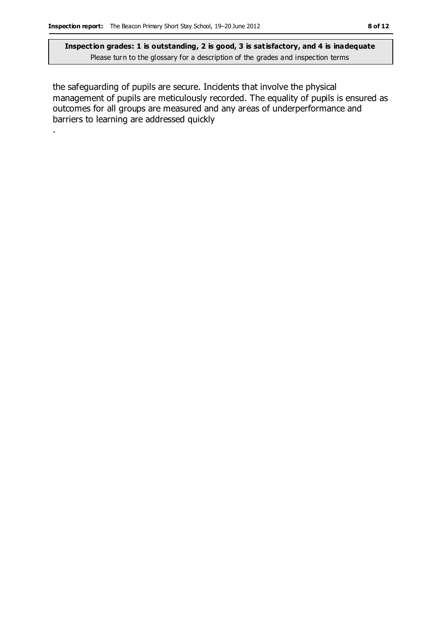.

**Inspection grades: 1 is outstanding, 2 is good, 3 is satisfactory, and 4 is inadequate** Please turn to the glossary for a description of the grades and inspection terms

the safeguarding of pupils are secure. Incidents that involve the physical management of pupils are meticulously recorded. The equality of pupils is ensured as outcomes for all groups are measured and any areas of underperformance and barriers to learning are addressed quickly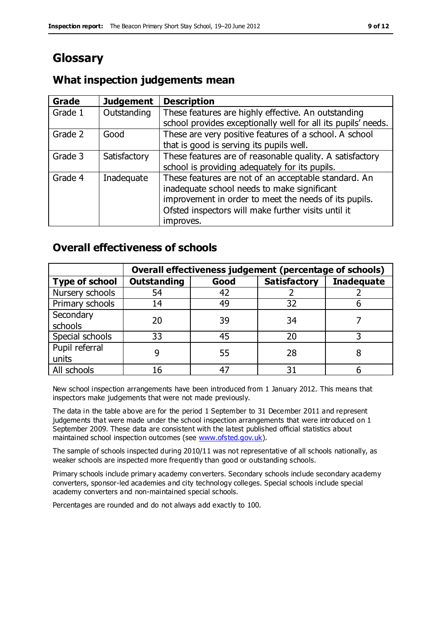# **Glossary**

#### **Grade Judgement Description** Grade  $1$  | Outstanding | These features are highly effective. An outstanding school provides exceptionally well for all its pupils' needs. Grade 2 Good These are very positive features of a school. A school that is good is serving its pupils well. Grade 3  $\parallel$  Satisfactory  $\parallel$  These features are of reasonable quality. A satisfactory school is providing adequately for its pupils. Grade 4  $\parallel$  Inadequate  $\parallel$  These features are not of an acceptable standard. An inadequate school needs to make significant improvement in order to meet the needs of its pupils. Ofsted inspectors will make further visits until it improves.

# **What inspection judgements mean**

# **Overall effectiveness of schools**

|                       | Overall effectiveness judgement (percentage of schools) |      |                     |                   |
|-----------------------|---------------------------------------------------------|------|---------------------|-------------------|
| <b>Type of school</b> | <b>Outstanding</b>                                      | Good | <b>Satisfactory</b> | <b>Inadequate</b> |
| Nursery schools       | 54                                                      | 42   |                     |                   |
| Primary schools       | 14                                                      | 49   | 32                  |                   |
| Secondary             | 20                                                      | 39   | 34                  |                   |
| schools               |                                                         |      |                     |                   |
| Special schools       | 33                                                      | 45   | 20                  |                   |
| Pupil referral        |                                                         | 55   | 28                  |                   |
| units                 |                                                         |      |                     |                   |
| All schools           |                                                         |      | م -                 |                   |

New school inspection arrangements have been introduced from 1 January 2012. This means that inspectors make judgements that were not made previously.

The data in the table above are for the period 1 September to 31 December 2011 and represent judgements that were made under the school inspection arrangements that were introduced on 1 September 2009. These data are consistent with the latest published official statistics about maintained school inspection outcomes (see [www.ofsted.gov.uk\)](http://www.ofsted.gov.uk/).

The sample of schools inspected during 2010/11 was not representative of all schools nationally, as weaker schools are inspected more frequently than good or outstanding schools.

Primary schools include primary academy converters. Secondary schools include secondary academy converters, sponsor-led academies and city technology colleges. Special schools include special academy converters and non-maintained special schools.

Percentages are rounded and do not always add exactly to 100.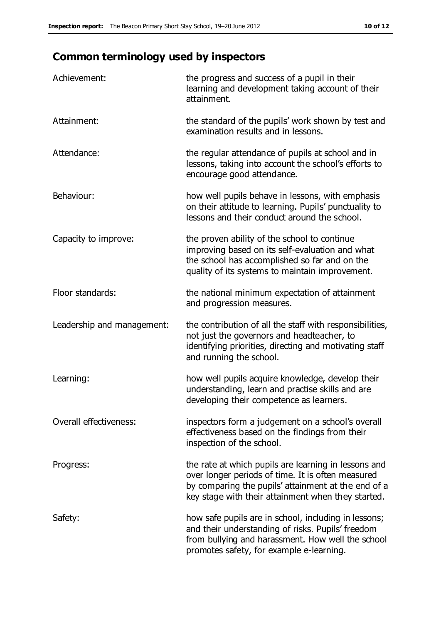# **Common terminology used by inspectors**

| Achievement:               | the progress and success of a pupil in their<br>learning and development taking account of their<br>attainment.                                                                                                        |
|----------------------------|------------------------------------------------------------------------------------------------------------------------------------------------------------------------------------------------------------------------|
| Attainment:                | the standard of the pupils' work shown by test and<br>examination results and in lessons.                                                                                                                              |
| Attendance:                | the regular attendance of pupils at school and in<br>lessons, taking into account the school's efforts to<br>encourage good attendance.                                                                                |
| Behaviour:                 | how well pupils behave in lessons, with emphasis<br>on their attitude to learning. Pupils' punctuality to<br>lessons and their conduct around the school.                                                              |
| Capacity to improve:       | the proven ability of the school to continue<br>improving based on its self-evaluation and what<br>the school has accomplished so far and on the<br>quality of its systems to maintain improvement.                    |
| Floor standards:           | the national minimum expectation of attainment<br>and progression measures.                                                                                                                                            |
| Leadership and management: | the contribution of all the staff with responsibilities,<br>not just the governors and headteacher, to<br>identifying priorities, directing and motivating staff<br>and running the school.                            |
| Learning:                  | how well pupils acquire knowledge, develop their<br>understanding, learn and practise skills and are<br>developing their competence as learners.                                                                       |
| Overall effectiveness:     | inspectors form a judgement on a school's overall<br>effectiveness based on the findings from their<br>inspection of the school.                                                                                       |
| Progress:                  | the rate at which pupils are learning in lessons and<br>over longer periods of time. It is often measured<br>by comparing the pupils' attainment at the end of a<br>key stage with their attainment when they started. |
| Safety:                    | how safe pupils are in school, including in lessons;<br>and their understanding of risks. Pupils' freedom<br>from bullying and harassment. How well the school<br>promotes safety, for example e-learning.             |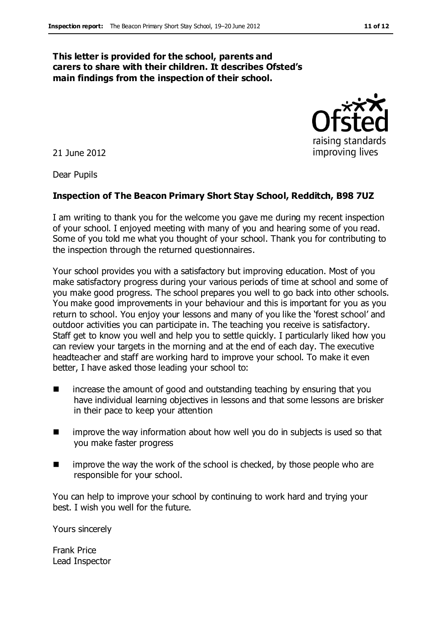#### **This letter is provided for the school, parents and carers to share with their children. It describes Ofsted's main findings from the inspection of their school.**

21 June 2012

Dear Pupils

#### **Inspection of The Beacon Primary Short Stay School, Redditch, B98 7UZ**

I am writing to thank you for the welcome you gave me during my recent inspection of your school. I enjoyed meeting with many of you and hearing some of you read. Some of you told me what you thought of your school. Thank you for contributing to the inspection through the returned questionnaires.

Your school provides you with a satisfactory but improving education. Most of you make satisfactory progress during your various periods of time at school and some of you make good progress. The school prepares you well to go back into other schools. You make good improvements in your behaviour and this is important for you as you return to school. You enjoy your lessons and many of you like the 'forest school' and outdoor activities you can participate in. The teaching you receive is satisfactory. Staff get to know you well and help you to settle quickly. I particularly liked how you can review your targets in the morning and at the end of each day. The executive headteacher and staff are working hard to improve your school. To make it even better, I have asked those leading your school to:

- **EXTERGHTM** increase the amount of good and outstanding teaching by ensuring that you have individual learning objectives in lessons and that some lessons are brisker in their pace to keep your attention
- **IF** improve the way information about how well you do in subjects is used so that you make faster progress
- $\blacksquare$  improve the way the work of the school is checked, by those people who are responsible for your school.

You can help to improve your school by continuing to work hard and trying your best. I wish you well for the future.

Yours sincerely

Frank Price Lead Inspector